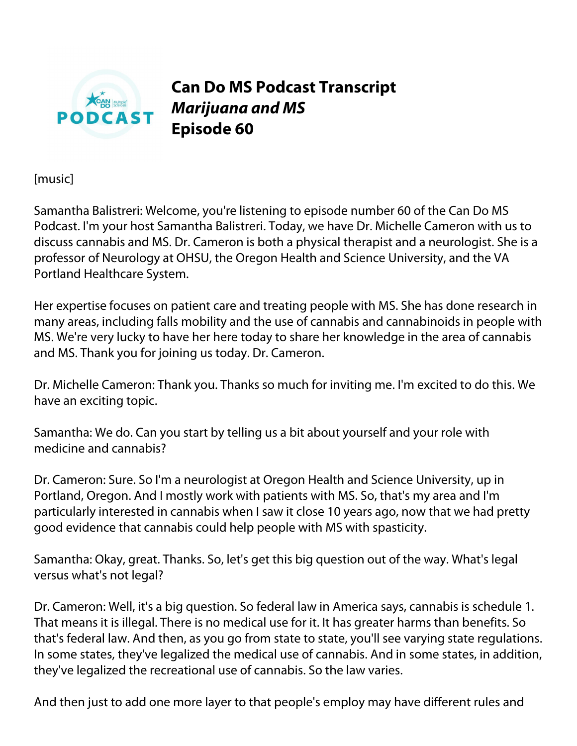

**Can Do MS Podcast Transcript** *Marijuana and MS* **Episode 60**

[music]

Samantha Balistreri: Welcome, you're listening to episode number 60 of the Can Do MS Podcast. I'm your host Samantha Balistreri. Today, we have Dr. Michelle Cameron with us to discuss cannabis and MS. Dr. Cameron is both a physical therapist and a neurologist. She is a professor of Neurology at OHSU, the Oregon Health and Science University, and the VA Portland Healthcare System.

Her expertise focuses on patient care and treating people with MS. She has done research in many areas, including falls mobility and the use of cannabis and cannabinoids in people with MS. We're very lucky to have her here today to share her knowledge in the area of cannabis and MS. Thank you for joining us today. Dr. Cameron.

Dr. Michelle Cameron: Thank you. Thanks so much for inviting me. I'm excited to do this. We have an exciting topic.

Samantha: We do. Can you start by telling us a bit about yourself and your role with medicine and cannabis?

Dr. Cameron: Sure. So I'm a neurologist at Oregon Health and Science University, up in Portland, Oregon. And I mostly work with patients with MS. So, that's my area and I'm particularly interested in cannabis when I saw it close 10 years ago, now that we had pretty good evidence that cannabis could help people with MS with spasticity.

Samantha: Okay, great. Thanks. So, let's get this big question out of the way. What's legal versus what's not legal?

Dr. Cameron: Well, it's a big question. So federal law in America says, cannabis is schedule 1. That means it is illegal. There is no medical use for it. It has greater harms than benefits. So that's federal law. And then, as you go from state to state, you'll see varying state regulations. In some states, they've legalized the medical use of cannabis. And in some states, in addition, they've legalized the recreational use of cannabis. So the law varies.

And then just to add one more layer to that people's employ may have different rules and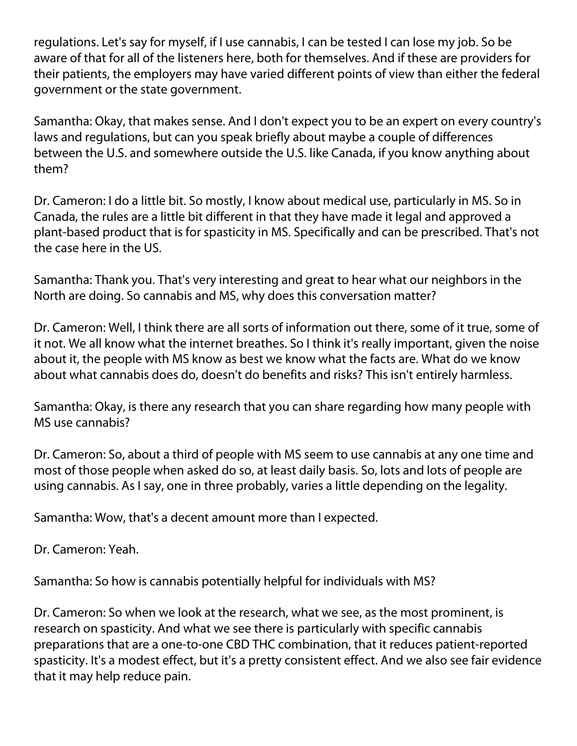regulations. Let's say for myself, if I use cannabis, I can be tested I can lose my job. So be aware of that for all of the listeners here, both for themselves. And if these are providers for their patients, the employers may have varied different points of view than either the federal government or the state government.

Samantha: Okay, that makes sense. And I don't expect you to be an expert on every country's laws and regulations, but can you speak briefly about maybe a couple of differences between the U.S. and somewhere outside the U.S. like Canada, if you know anything about them?

Dr. Cameron: I do a little bit. So mostly, I know about medical use, particularly in MS. So in Canada, the rules are a little bit different in that they have made it legal and approved a plant-based product that is for spasticity in MS. Specifically and can be prescribed. That's not the case here in the US.

Samantha: Thank you. That's very interesting and great to hear what our neighbors in the North are doing. So cannabis and MS, why does this conversation matter?

Dr. Cameron: Well, I think there are all sorts of information out there, some of it true, some of it not. We all know what the internet breathes. So I think it's really important, given the noise about it, the people with MS know as best we know what the facts are. What do we know about what cannabis does do, doesn't do benefits and risks? This isn't entirely harmless.

Samantha: Okay, is there any research that you can share regarding how many people with MS use cannabis?

Dr. Cameron: So, about a third of people with MS seem to use cannabis at any one time and most of those people when asked do so, at least daily basis. So, lots and lots of people are using cannabis. As I say, one in three probably, varies a little depending on the legality.

Samantha: Wow, that's a decent amount more than I expected.

Dr. Cameron: Yeah.

Samantha: So how is cannabis potentially helpful for individuals with MS?

Dr. Cameron: So when we look at the research, what we see, as the most prominent, is research on spasticity. And what we see there is particularly with specific cannabis preparations that are a one-to-one CBD THC combination, that it reduces patient-reported spasticity. It's a modest effect, but it's a pretty consistent effect. And we also see fair evidence that it may help reduce pain.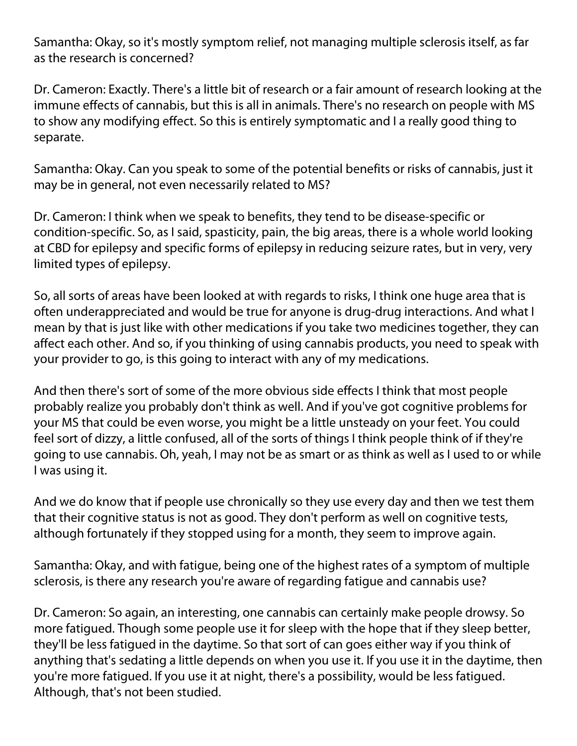Samantha: Okay, so it's mostly symptom relief, not managing multiple sclerosis itself, as far as the research is concerned?

Dr. Cameron: Exactly. There's a little bit of research or a fair amount of research looking at the immune effects of cannabis, but this is all in animals. There's no research on people with MS to show any modifying effect. So this is entirely symptomatic and I a really good thing to separate.

Samantha: Okay. Can you speak to some of the potential benefits or risks of cannabis, just it may be in general, not even necessarily related to MS?

Dr. Cameron: I think when we speak to benefits, they tend to be disease-specific or condition-specific. So, as I said, spasticity, pain, the big areas, there is a whole world looking at CBD for epilepsy and specific forms of epilepsy in reducing seizure rates, but in very, very limited types of epilepsy.

So, all sorts of areas have been looked at with regards to risks, I think one huge area that is often underappreciated and would be true for anyone is drug-drug interactions. And what I mean by that is just like with other medications if you take two medicines together, they can affect each other. And so, if you thinking of using cannabis products, you need to speak with your provider to go, is this going to interact with any of my medications.

And then there's sort of some of the more obvious side effects I think that most people probably realize you probably don't think as well. And if you've got cognitive problems for your MS that could be even worse, you might be a little unsteady on your feet. You could feel sort of dizzy, a little confused, all of the sorts of things I think people think of if they're going to use cannabis. Oh, yeah, I may not be as smart or as think as well as I used to or while I was using it.

And we do know that if people use chronically so they use every day and then we test them that their cognitive status is not as good. They don't perform as well on cognitive tests, although fortunately if they stopped using for a month, they seem to improve again.

Samantha: Okay, and with fatigue, being one of the highest rates of a symptom of multiple sclerosis, is there any research you're aware of regarding fatigue and cannabis use?

Dr. Cameron: So again, an interesting, one cannabis can certainly make people drowsy. So more fatigued. Though some people use it for sleep with the hope that if they sleep better, they'll be less fatigued in the daytime. So that sort of can goes either way if you think of anything that's sedating a little depends on when you use it. If you use it in the daytime, then you're more fatigued. If you use it at night, there's a possibility, would be less fatigued. Although, that's not been studied.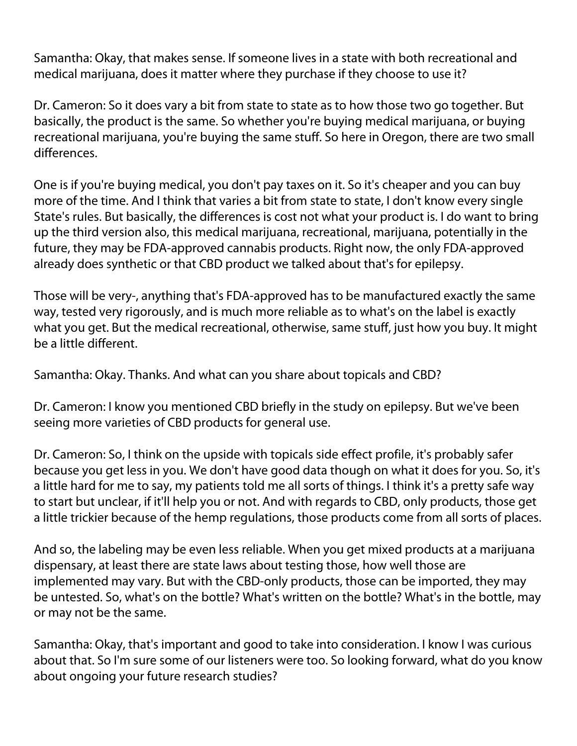Samantha: Okay, that makes sense. If someone lives in a state with both recreational and medical marijuana, does it matter where they purchase if they choose to use it?

Dr. Cameron: So it does vary a bit from state to state as to how those two go together. But basically, the product is the same. So whether you're buying medical marijuana, or buying recreational marijuana, you're buying the same stuff. So here in Oregon, there are two small differences.

One is if you're buying medical, you don't pay taxes on it. So it's cheaper and you can buy more of the time. And I think that varies a bit from state to state, I don't know every single State's rules. But basically, the differences is cost not what your product is. I do want to bring up the third version also, this medical marijuana, recreational, marijuana, potentially in the future, they may be FDA-approved cannabis products. Right now, the only FDA-approved already does synthetic or that CBD product we talked about that's for epilepsy.

Those will be very-, anything that's FDA-approved has to be manufactured exactly the same way, tested very rigorously, and is much more reliable as to what's on the label is exactly what you get. But the medical recreational, otherwise, same stuff, just how you buy. It might be a little different.

Samantha: Okay. Thanks. And what can you share about topicals and CBD?

Dr. Cameron: I know you mentioned CBD briefly in the study on epilepsy. But we've been seeing more varieties of CBD products for general use.

Dr. Cameron: So, I think on the upside with topicals side effect profile, it's probably safer because you get less in you. We don't have good data though on what it does for you. So, it's a little hard for me to say, my patients told me all sorts of things. I think it's a pretty safe way to start but unclear, if it'll help you or not. And with regards to CBD, only products, those get a little trickier because of the hemp regulations, those products come from all sorts of places.

And so, the labeling may be even less reliable. When you get mixed products at a marijuana dispensary, at least there are state laws about testing those, how well those are implemented may vary. But with the CBD-only products, those can be imported, they may be untested. So, what's on the bottle? What's written on the bottle? What's in the bottle, may or may not be the same.

Samantha: Okay, that's important and good to take into consideration. I know I was curious about that. So I'm sure some of our listeners were too. So looking forward, what do you know about ongoing your future research studies?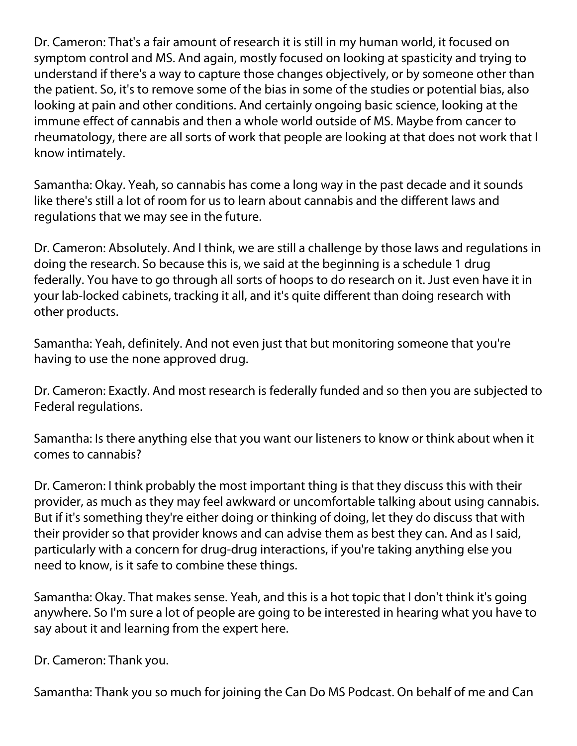Dr. Cameron: That's a fair amount of research it is still in my human world, it focused on symptom control and MS. And again, mostly focused on looking at spasticity and trying to understand if there's a way to capture those changes objectively, or by someone other than the patient. So, it's to remove some of the bias in some of the studies or potential bias, also looking at pain and other conditions. And certainly ongoing basic science, looking at the immune effect of cannabis and then a whole world outside of MS. Maybe from cancer to rheumatology, there are all sorts of work that people are looking at that does not work that I know intimately.

Samantha: Okay. Yeah, so cannabis has come a long way in the past decade and it sounds like there's still a lot of room for us to learn about cannabis and the different laws and regulations that we may see in the future.

Dr. Cameron: Absolutely. And I think, we are still a challenge by those laws and regulations in doing the research. So because this is, we said at the beginning is a schedule 1 drug federally. You have to go through all sorts of hoops to do research on it. Just even have it in your lab-locked cabinets, tracking it all, and it's quite different than doing research with other products.

Samantha: Yeah, definitely. And not even just that but monitoring someone that you're having to use the none approved drug.

Dr. Cameron: Exactly. And most research is federally funded and so then you are subjected to Federal regulations.

Samantha: Is there anything else that you want our listeners to know or think about when it comes to cannabis?

Dr. Cameron: I think probably the most important thing is that they discuss this with their provider, as much as they may feel awkward or uncomfortable talking about using cannabis. But if it's something they're either doing or thinking of doing, let they do discuss that with their provider so that provider knows and can advise them as best they can. And as I said, particularly with a concern for drug-drug interactions, if you're taking anything else you need to know, is it safe to combine these things.

Samantha: Okay. That makes sense. Yeah, and this is a hot topic that I don't think it's going anywhere. So I'm sure a lot of people are going to be interested in hearing what you have to say about it and learning from the expert here.

Dr. Cameron: Thank you.

Samantha: Thank you so much for joining the Can Do MS Podcast. On behalf of me and Can